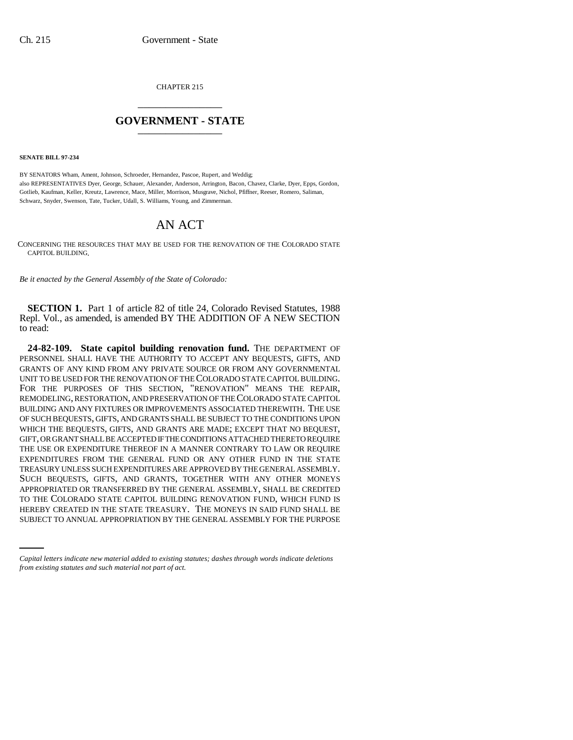CHAPTER 215 \_\_\_\_\_\_\_\_\_\_\_\_\_\_\_

## **GOVERNMENT - STATE** \_\_\_\_\_\_\_\_\_\_\_\_\_\_\_

**SENATE BILL 97-234**

BY SENATORS Wham, Ament, Johnson, Schroeder, Hernandez, Pascoe, Rupert, and Weddig; also REPRESENTATIVES Dyer, George, Schauer, Alexander, Anderson, Arrington, Bacon, Chavez, Clarke, Dyer, Epps, Gordon, Gotlieb, Kaufman, Keller, Kreutz, Lawrence, Mace, Miller, Morrison, Musgrave, Nichol, Pfiffner, Reeser, Romero, Saliman, Schwarz, Snyder, Swenson, Tate, Tucker, Udall, S. Williams, Young, and Zimmerman.

## AN ACT

CONCERNING THE RESOURCES THAT MAY BE USED FOR THE RENOVATION OF THE COLORADO STATE CAPITOL BUILDING.

*Be it enacted by the General Assembly of the State of Colorado:*

**SECTION 1.** Part 1 of article 82 of title 24, Colorado Revised Statutes, 1988 Repl. Vol., as amended, is amended BY THE ADDITION OF A NEW SECTION to read:

TO THE COLORADO STATE CAPITOL BUILDING RENOVATION FUND, WHICH FUND IS **24-82-109. State capitol building renovation fund.** THE DEPARTMENT OF PERSONNEL SHALL HAVE THE AUTHORITY TO ACCEPT ANY BEQUESTS, GIFTS, AND GRANTS OF ANY KIND FROM ANY PRIVATE SOURCE OR FROM ANY GOVERNMENTAL UNIT TO BE USED FOR THE RENOVATION OF THE COLORADO STATE CAPITOL BUILDING. FOR THE PURPOSES OF THIS SECTION, "RENOVATION" MEANS THE REPAIR, REMODELING, RESTORATION, AND PRESERVATION OF THE COLORADO STATE CAPITOL BUILDING AND ANY FIXTURES OR IMPROVEMENTS ASSOCIATED THEREWITH. THE USE OF SUCH BEQUESTS, GIFTS, AND GRANTS SHALL BE SUBJECT TO THE CONDITIONS UPON WHICH THE BEQUESTS, GIFTS, AND GRANTS ARE MADE; EXCEPT THAT NO BEQUEST, GIFT, OR GRANT SHALL BE ACCEPTED IF THE CONDITIONS ATTACHED THERETO REQUIRE THE USE OR EXPENDITURE THEREOF IN A MANNER CONTRARY TO LAW OR REQUIRE EXPENDITURES FROM THE GENERAL FUND OR ANY OTHER FUND IN THE STATE TREASURY UNLESS SUCH EXPENDITURES ARE APPROVED BY THE GENERAL ASSEMBLY. SUCH BEQUESTS, GIFTS, AND GRANTS, TOGETHER WITH ANY OTHER MONEYS APPROPRIATED OR TRANSFERRED BY THE GENERAL ASSEMBLY, SHALL BE CREDITED HEREBY CREATED IN THE STATE TREASURY. THE MONEYS IN SAID FUND SHALL BE SUBJECT TO ANNUAL APPROPRIATION BY THE GENERAL ASSEMBLY FOR THE PURPOSE

*Capital letters indicate new material added to existing statutes; dashes through words indicate deletions from existing statutes and such material not part of act.*